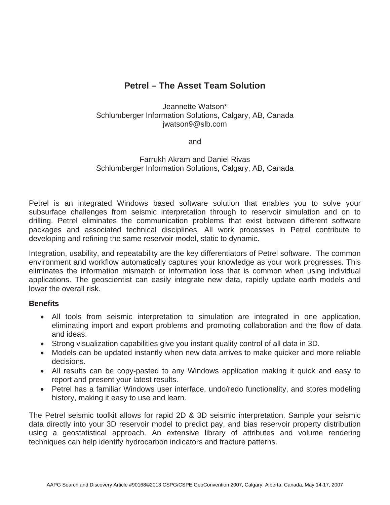# **Petrel – The Asset Team Solution**

# Jeannette Watson\* Schlumberger Information Solutions, Calgary, AB, Canada jwatson9@slb.com

and

# Farrukh Akram and Daniel Rivas Schlumberger Information Solutions, Calgary, AB, Canada

Petrel is an integrated Windows based software solution that enables you to solve your subsurface challenges from seismic interpretation through to reservoir simulation and on to drilling. Petrel eliminates the communication problems that exist between different software packages and associated technical disciplines. All work processes in Petrel contribute to developing and refining the same reservoir model, static to dynamic.

Integration, usability, and repeatability are the key differentiators of Petrel software. The common environment and workflow automatically captures your knowledge as your work progresses. This eliminates the information mismatch or information loss that is common when using individual applications. The geoscientist can easily integrate new data, rapidly update earth models and lower the overall risk.

## **Benefits**

- All tools from seismic interpretation to simulation are integrated in one application, eliminating import and export problems and promoting collaboration and the flow of data and ideas.
- Strong visualization capabilities give you instant quality control of all data in 3D.
- $\bullet$  Models can be updated instantly when new data arrives to make quicker and more reliable decisions.
- All results can be copy-pasted to any Windows application making it quick and easy to report and present your latest results.
- Petrel has a familiar Windows user interface, undo/redo functionality, and stores modeling history, making it easy to use and learn.

The Petrel seismic toolkit allows for rapid 2D & 3D seismic interpretation. Sample your seismic data directly into your 3D reservoir model to predict pay, and bias reservoir property distribution using a geostatistical approach. An extensive library of attributes and volume rendering techniques can help identify hydrocarbon indicators and fracture patterns.